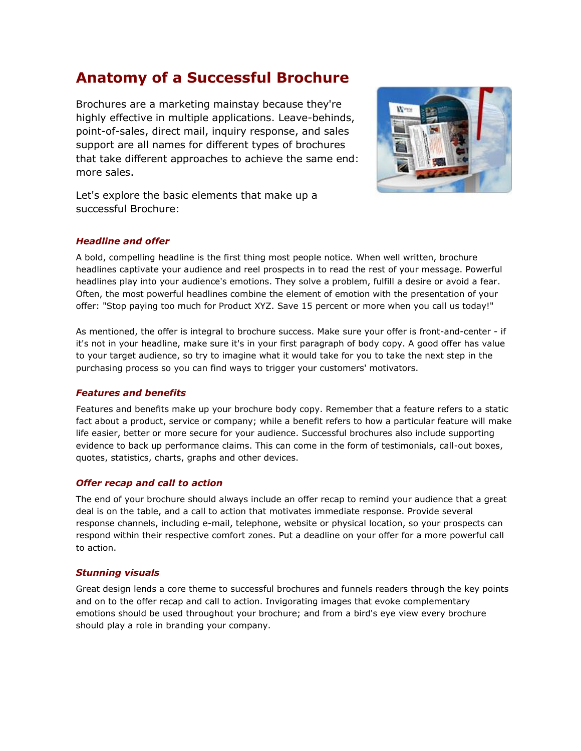# **Anatomy of a Successful Brochure**

Brochures are a marketing mainstay because they're highly effective in multiple applications. Leave-behinds, point-of-sales, direct mail, inquiry response, and sales support are all names for different types of brochures that take different approaches to achieve the same end: more sales.



Let's explore the basic elements that make up a successful Brochure:

### *Headline and offer*

A bold, compelling headline is the first thing most people notice. When well written, brochure headlines captivate your audience and reel prospects in to read the rest of your message. Powerful headlines play into your audience's emotions. They solve a problem, fulfill a desire or avoid a fear. Often, the most powerful headlines combine the element of emotion with the presentation of your offer: "Stop paying too much for Product XYZ. Save 15 percent or more when you call us today!"

As mentioned, the offer is integral to brochure success. Make sure your offer is front-and-center - if it's not in your headline, make sure it's in your first paragraph of body copy. A good offer has value to your target audience, so try to imagine what it would take for you to take the next step in the purchasing process so you can find ways to trigger your customers' motivators.

### *Features and benefits*

Features and benefits make up your brochure body copy. Remember that a feature refers to a static fact about a product, service or company; while a benefit refers to how a particular feature will make life easier, better or more secure for your audience. Successful brochures also include supporting evidence to back up performance claims. This can come in the form of testimonials, call-out boxes, quotes, statistics, charts, graphs and other devices.

### *Offer recap and call to action*

The end of your brochure should always include an offer recap to remind your audience that a great deal is on the table, and a call to action that motivates immediate response. Provide several response channels, including e-mail, telephone, website or physical location, so your prospects can respond within their respective comfort zones. Put a deadline on your offer for a more powerful call to action.

### *Stunning visuals*

Great design lends a core theme to successful brochures and funnels readers through the key points and on to the offer recap and call to action. Invigorating images that evoke complementary emotions should be used throughout your brochure; and from a bird's eye view every brochure should play a role in branding your company.